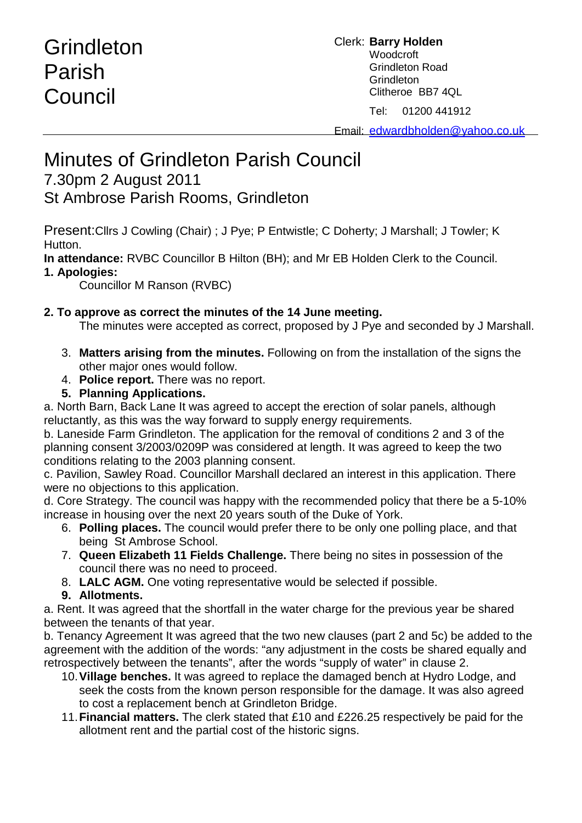# **Grindleton** Parish **Council**

### Clerk: **Barry Holden** Woodcroft Grindleton Road **Grindleton** Clitheroe BB7 4QL

Tel: 01200 441912

Email: [edwardbholden@yahoo.co.uk](mailto:edwardbholden@yahoo.co.uk)

## Minutes of Grindleton Parish Council

### 7.30pm 2 August 2011

St Ambrose Parish Rooms, Grindleton

Present:Cllrs J Cowling (Chair) ; J Pye; P Entwistle; C Doherty; J Marshall; J Towler; K Hutton.

**In attendance:** RVBC Councillor B Hilton (BH); and Mr EB Holden Clerk to the Council.

### **1. Apologies:**

Councillor M Ranson (RVBC)

### **2. To approve as correct the minutes of the 14 June meeting.**

The minutes were accepted as correct, proposed by J Pye and seconded by J Marshall.

- 3. **Matters arising from the minutes.** Following on from the installation of the signs the other major ones would follow.
- 4. **Police report.** There was no report.
- **5. Planning Applications.**

a. North Barn, Back Lane It was agreed to accept the erection of solar panels, although reluctantly, as this was the way forward to supply energy requirements.

b. Laneside Farm Grindleton. The application for the removal of conditions 2 and 3 of the planning consent 3/2003/0209P was considered at length. It was agreed to keep the two conditions relating to the 2003 planning consent.

c. Pavilion, Sawley Road. Councillor Marshall declared an interest in this application. There were no objections to this application.

d. Core Strategy. The council was happy with the recommended policy that there be a 5-10% increase in housing over the next 20 years south of the Duke of York.

- 6. **Polling places.** The council would prefer there to be only one polling place, and that being St Ambrose School.
- 7. **Queen Elizabeth 11 Fields Challenge.** There being no sites in possession of the council there was no need to proceed.
- 8. **LALC AGM.** One voting representative would be selected if possible.
- **9. Allotments.**

a. Rent. It was agreed that the shortfall in the water charge for the previous year be shared between the tenants of that year.

b. Tenancy Agreement It was agreed that the two new clauses (part 2 and 5c) be added to the agreement with the addition of the words: "any adjustment in the costs be shared equally and retrospectively between the tenants", after the words "supply of water" in clause 2.

- 10.**Village benches.** It was agreed to replace the damaged bench at Hydro Lodge, and seek the costs from the known person responsible for the damage. It was also agreed to cost a replacement bench at Grindleton Bridge.
- 11.**Financial matters.** The clerk stated that £10 and £226.25 respectively be paid for the allotment rent and the partial cost of the historic signs.